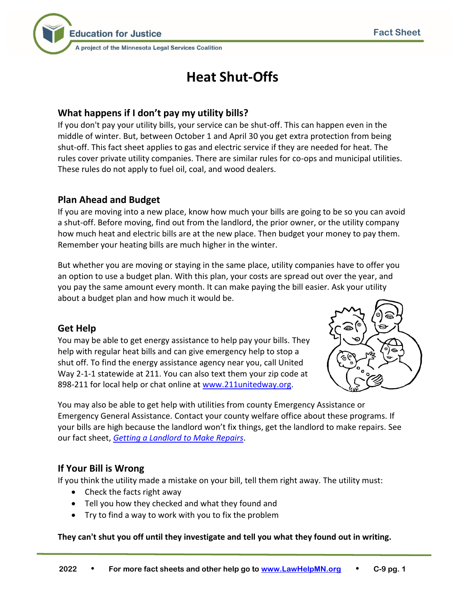

# **Heat Shut-Offs**

## **What happens if I don't pay my utility bills?**

If you don't pay your utility bills, your service can be shut-off. This can happen even in the middle of winter. But, between October 1 and April 30 you get extra protection from being shut-off. This fact sheet applies to gas and electric service if they are needed for heat. The rules cover private utility companies. There are similar rules for co-ops and municipal utilities. These rules do not apply to fuel oil, coal, and wood dealers.

## **Plan Ahead and Budget**

If you are moving into a new place, know how much your bills are going to be so you can avoid a shut-off. Before moving, find out from the landlord, the prior owner, or the utility company how much heat and electric bills are at the new place. Then budget your money to pay them. Remember your heating bills are much higher in the winter.

But whether you are moving or staying in the same place, utility companies have to offer you an option to use a budget plan. With this plan, your costs are spread out over the year, and you pay the same amount every month. It can make paying the bill easier. Ask your utility about a budget plan and how much it would be.

## **Get Help**

You may be able to get energy assistance to help pay your bills. They help with regular heat bills and can give emergency help to stop a shut off. To find the energy assistance agency near you, call United Way 2-1-1 statewide at 211. You can also text them your zip code at 898-211 for local help or chat online at [www.211unitedway.org.](http://www.211unitedway.org/)



You may also be able to get help with utilities from county Emergency Assistance or Emergency General Assistance. Contact your county welfare office about these programs. If your bills are high because the landlord won't fix things, get the landlord to make repairs. See our fact sheet, *[Getting a Landlord to Make Repairs](http://www.lawhelpmn.org/self-help-library/fact-sheet/getting-landlord-make-repairs)*.

# **If Your Bill is Wrong**

If you think the utility made a mistake on your bill, tell them right away. The utility must:

- Check the facts right away
- Tell you how they checked and what they found and
- Try to find a way to work with you to fix the problem

**They can't shut you off until they investigate and tell you what they found out in writing.**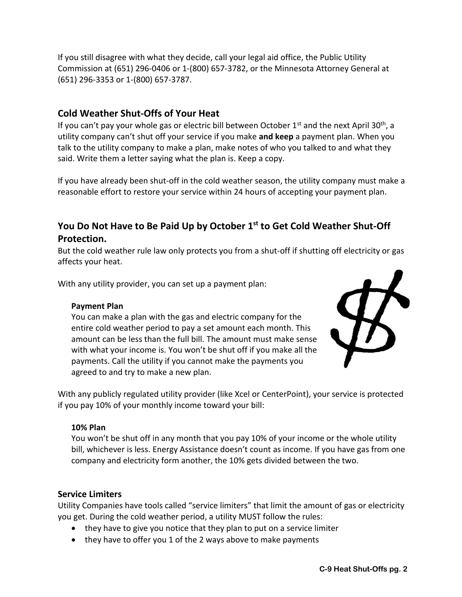If you still disagree with what they decide, call your legal aid office, the Public Utility Commission at (651) 296-0406 or 1-(800) 657-3782, or the Minnesota Attorney General at (651) 296-3353 or 1-(800) 657-3787.

### **Cold Weather Shut-Offs of Your Heat**

If you can't pay your whole gas or electric bill between October  $1<sup>st</sup>$  and the next April 30<sup>th</sup>, a utility company can't shut off your service if you make **and keep** a payment plan. When you talk to the utility company to make a plan, make notes of who you talked to and what they said. Write them a letter saying what the plan is. Keep a copy.

If you have already been shut-off in the cold weather season, the utility company must make a reasonable effort to restore your service within 24 hours of accepting your payment plan.

# **You Do Not Have to Be Paid Up by October 1st to Get Cold Weather Shut-Off Protection.**

But the cold weather rule law only protects you from a shut-off if shutting off electricity or gas affects your heat.

With any utility provider, you can set up a payment plan:

#### **Payment Plan**

You can make a plan with the gas and electric company for the entire cold weather period to pay a set amount each month. This amount can be less than the full bill. The amount must make sense with what your income is. You won't be shut off if you make all the payments. Call the utility if you cannot make the payments you agreed to and try to make a new plan.



With any publicly regulated utility provider (like Xcel or CenterPoint), your service is protected if you pay 10% of your monthly income toward your bill:

#### **10% Plan**

You won't be shut off in any month that you pay 10% of your income or the whole utility bill, whichever is less. Energy Assistance doesn't count as income. If you have gas from one company and electricity form another, the 10% gets divided between the two.

#### **Service Limiters**

Utility Companies have tools called "service limiters" that limit the amount of gas or electricity you get. During the cold weather period, a utility MUST follow the rules:

- they have to give you notice that they plan to put on a service limiter
- they have to offer you 1 of the 2 ways above to make payments